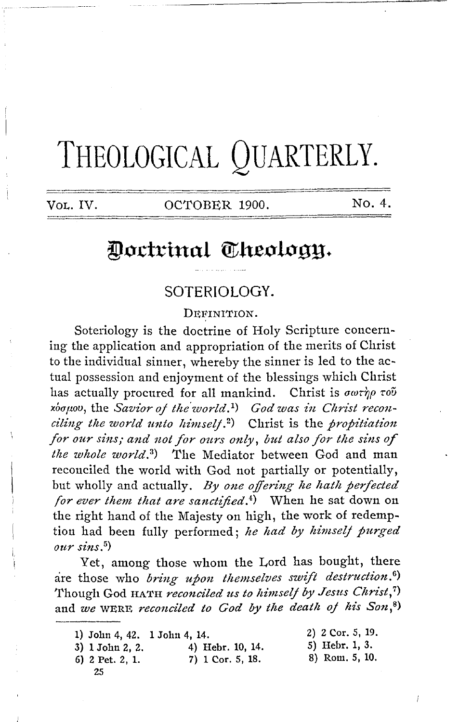# THEOLOGICAL QUARTERLY.

Vol. IV.

OCTOBER 1900.

No. 4.

# Doctrinal Theology.

## SOTERIOLOGY.

DEFINITION.

Soteriology is the doctrine of Holy Scripture concerning the application and appropriation of the merits of Christ to the individual sinner, whereby the sinner is led to the actual possession and enjoyment of the blessings which Christ has actually procured for all mankind. Christ is  $\sigma\omega\tau\eta\rho\tau\sigma\tilde{\nu}$  $x_{\alpha\beta}$   $x_{\beta}$ , the Savior of the world.<sup>1</sup>) God was in Christ reconciling the world unto himself.<sup>2</sup>) Christ is the propitiation for our sins; and not for ours only, but also for the sins of the whole world.<sup>3</sup>) The Mediator between God and man reconciled the world with God not partially or potentially, but wholly and actually. By one offering he hath perfected for ever them that are sanctified.<sup>4</sup>) When he sat down on the right hand of the Majesty on high, the work of redemption had been fully performed; he had by himself purged  $our \, sin s$ .<sup>5</sup>)

Yet, among those whom the Lord has bought, there are those who bring upon themselves swift destruction.<sup>6)</sup> Though God HATH reconciled us to himself by Jesus Christ,7) and we WERE, reconciled to God by the death of his Son,8)

- 1) John 4, 42. 1 John 4, 14.
- 4) Hebr. 10, 14. 3) 1 John 2, 2. 7) 1 Cor. 5, 18.
- 6) 2 Pet. 2, 1.
	- 25
- 2) 2 Cor. 5, 19. 5) Hebr. 1, 3.
- 8) Rom. 5, 10.
- Í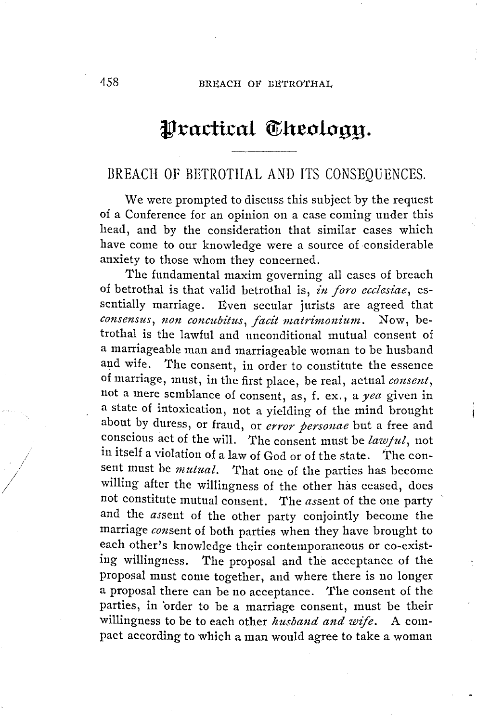## Practical Theology.

## BREACH OF BETROTHAL AND ITS CONSEQUENCES.

We were prompted to discuss this subject by the request of a Conference for an opinion on a case coming under this head, and by the consideration that similar cases which have come to our knowledge were a source of considerable anxiety to those whom they concerned.

The fundamental maxim governing all cases of breach of betrothal is that valid betrothal is, *in foro ecclesiae*, essentially marriage. Even secular jurists are agreed that *consensus, non concubitus, facit matrimonium.* Now, betrothal is the lawful and unconditional mutual consent of a marriageable man and marriageable woman to be husband and wife. The consent, in order to constitute the essence of marriage, must, in the first place, be real, actual *consent,*  not a mere semblance of consent, as, f. ex., a *yea* given in a state of intoxication, not a yielding of the mind brought about by duress, or fraud, or *error personae* but a free and conscious act of the will. The consent must be *lawful*, not in itself a violation of a law of God or of the state. The consent must be *mutual.* That one of the parties has become willing after the willingness of the other has ceased, does not constitute mutual consent. The *assent* of the one party and the assent of the other party conjointly become the marriage *consent* of both parties when they have brought to each other's knowledge their contemporaneous or co-existing willingness. The proposal and the acceptance of the proposal must come together, and where there is no longer a proposal there can be no acceptance. The consent of the parties, in 'order to be a marriage consent, must be their willingness to be to each other *husband and wife.* A compact according to which a man would agree to take a woman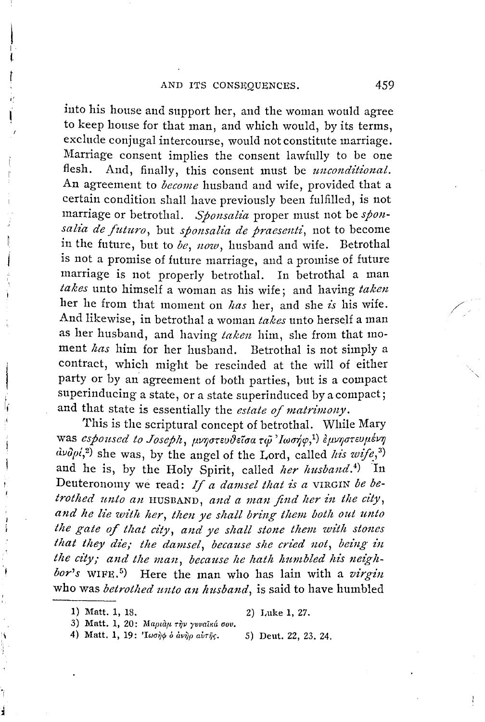into his house and support her, and the woman would agree to keep house for that man, and which would, by its terms, exclude conjugal intercourse, would not constitute marriage. Marriage consent implies the consent lawfully to be one flesh. And, finally, this consent must be *unconditional.*  An agreement to *become* husband and wife, provided that a certain condition shall have previously been fulfilled, is not marriage or betrothal. *Sponsalia* proper must not be *spon*salia de futuro, but *sponsalia de praesenti*, not to become in the future, but to *be, now,* husband and wife. Betrothal is not a promise of future marriage, and a promise of future marriage is not properly betrothal. In betrothal a man *takes* unto himself a woman as bis wife; and having *taken*  her he from that moment on *has* her, and she *is* his wife. And likewise, in betrothal a woman *takes* unto herself a man as her husband, and having *taken* him, she from that moment *has* him for her husband. Betrothal is not simply a contract, which might be rescinded at the will of either party or by an agreement of both parties, but is a compact superinducing a state, or a state superinduced by a compact; and that state is essentially the *estate of matrimony*.

This is the scriptural concept of betrothal. While Mary was *espoused to Joseph*, μνηστευθείσα τω 'Ιωσήφ,<sup>1</sup>) εμνηστευμένη  $d\nu\partial\rho\dot{\varphi}^{2}$  she was, by the angel of the Lord, called *his wife*,<sup>3</sup>) and he is, by the Holy Spirit, called *her husband*.<sup>4</sup>) In Deuteronomy we read: If a damsel that is a VIRGIN be be*trothed unto an* HUSBAND, and a man find her in the city, and he lie with her, then ye shall bring them both out unto *the gate of that city, and ye shall stone them with stones* that they die; the damsel, because she cried not, being in the city; and the man, because he hath humbled his neigh*bor's* WIFE. <sup>5</sup> ) Here the man who has lain with a *virgin*  who was *betrothed unto an husband*, is said to have humbled

 $\vert$ I. t<br>t

Í

4) Matt. 1, 19: 'Lword o avrip avrig. 5) Deut. 22, 23. 24.

/

<sup>1)</sup> Matt. 1, 18. 2) Luke 1, 27.

<sup>3)</sup> Matt. 1, 20: *Mapiau riv yvvaiká 000.*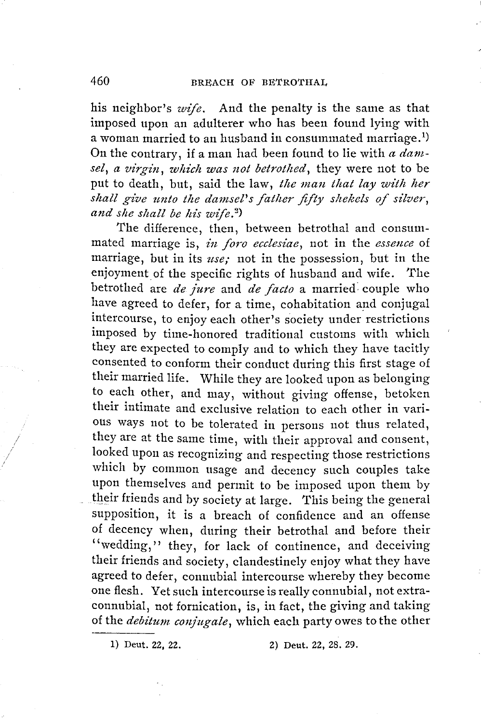his neighbor's *wife.* And the penalty is the same as that imposed upon an adulterer who has been found lying with a woman married to an husband in consummated marriage. $^{\rm 1)}$ On the contrary, if a man had been found to lie with *a dam*sel, a virgin, which was not betrothed, they were not to be put to death, but, said the law, *the man that lay with her* shall give unto the damsel's father fifty shekels of silver, *and she shall be his wife.*<sup>2</sup>)

The difference, then, between betrothal and consummated marriage is, *in foro ecclesiae,* not in the *essence* of marriage, but in its *use;* not in the possession, but in the enjoyment of the specific rights of husband and wife. The betrothed are *de jure* and *de facto* a married: couple who have agreed to defer, for a time, cohabitation and conjugal intercourse, to enjoy each other's society under restrictions imposed by time-honored traditional customs with which they are expected to comply and to which they have tacitly consented to conform their conduct during this first stage of their married life. While they are looked upon as belonging to each other, and may, without giving offense, betoken their intimate and exclusive relation to each other in various ways not to be tolerated in persons not thus related, they are at the same time, with their approval and consent, looked upon as recognizing and respecting those restrictions which by common usage and decency such couples take upon themselves and permit to be imposed upon them by their friends and by society at large. This being the general supposition, it is a breach of confidence and an offense of decency when, during their betrothal and before their "wedding," they, for lack of continence, and deceiving their friends and society, clandestinely enjoy what they have agreed to defer, connubial intercourse whereby they become one flesh. Yet such intercourse is really connubial, not extraconnubial, not fornication, is, in fact, the giving and taking of the *debitum conjugate,* which each party owes to the other

1) Deut. 22, 22. 2) Deut. 22, 28. 29.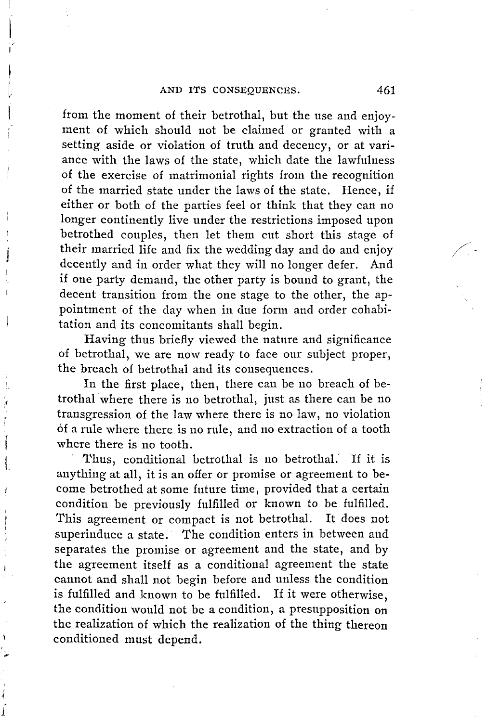from the moment of their betrothal, but the use and enjoyment of which should not be claimed or granted with a setting aside or violation of truth and decency, or at variance with the laws of the state, which date the lawfulness of the exercise of matrimonial rights from the recognition of the married state under the laws of the state. Hence, if either or both of the parties feel or think that they can no longer continently live under the restrictions imposed upon betrothed couples, then let them cut short this stage of their married life and fix the wedding day and do and enjoy decently and in order what they will no longer defer. And if one party demand, the other party is bound to grant, the decent transition from the one stage to the other, the appointment of the day when in due form and order cohabitation and its concomitants shall begin.

Having thus briefly viewed the nature and significance of betrothal, we are now ready to face our subject proper, the breach of betrothal and its consequences.

In the first place, then, there can be no breach of betrothal where there is no betrothal, just as there can be no transgression of the law where there is no law, no violation of a rule where there is no rule, and no extraction of a tooth where there is no tooth.

i  $\vert$ 

Thus, conditional betrothal is no betrothal. If it is anything at all, it is an offer or promise or agreement to become betrothed at some future time, provided that a certain condition be previously fulfilled or known to be fulfilled. This agreement or compact is not betrothal. It does not superinduce a state. The condition enters in between and separates the promise or agreement and the state, and by the agreement itself as a conditional agreement the state cannot and shall not begin before and unless the condition is fulfilled and known to be fulfilled. If it were otherwise, the condition would not be a condition, a presupposition on the realization of which the realization of the thing thereon conditioned must depend.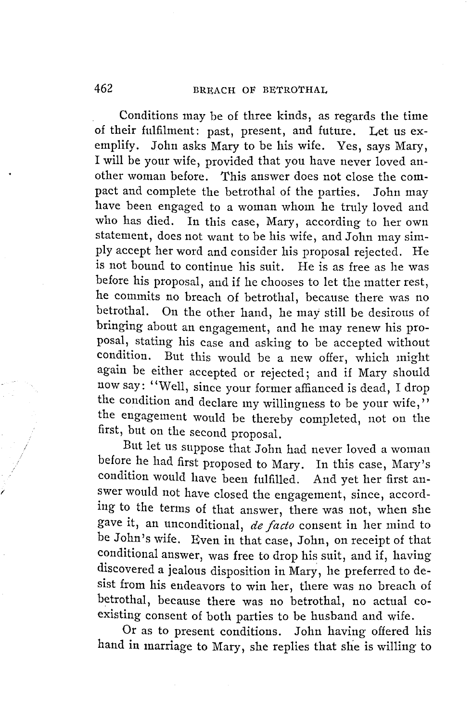Conditions may be of three kinds, as regards the time of their fulfilment: past, present, and future. Let us exemplify. John asks Mary to be his wife. Yes, says Mary, I will be your wife, provided that you have never loved another woman before. This answer does not close the compact and complete the betrothal of the parties. John may have been engaged to a woman whom he truly loved and who has died. In this case, Mary, according to her own statement, does not want to be his wife, and John may simply accept her word and consider his proposal rejected. He is not bound to continue his suit. He is as free as he was before his proposal, and if he chooses to let the matter rest, he commits no breach of betrothal, because there was no betrothal. On the other hand, he may still be desirous of bringing about an engagement, and he may renew his proposal, stating his case and asking to be accepted without condition. But this would be a new offer, which might again be either accepted or rejected; and if Mary should now say: "Well, since your former affianced is dead, I drop the condition and declare my willingness to be your wife," the engagement would be thereby completed, not on the first, but on the second proposal.

But let us suppose that John had never loved a woman before he had first proposed to Mary. In this case, Mary's condition would have been fulfilled. And yet her first answer would not have closed the engagement, since, according to the terms of that answer, there was not, when she gave it, an unconditional, *de facto* consent in her mind to be John's wife. Even in that case, John, on receipt of that conditional answer, was free to drop his suit, and if, having discovered a jealous disposition in Mary, he preferred to desist from his endeavors to win her, there was no breach of betrothal, because there was no betrothal, no actual coexisting consent of both parties to be husband and wife.

Or as to present conditions. John having offered his hand in marriage to Mary, she replies that she is willing to

*(*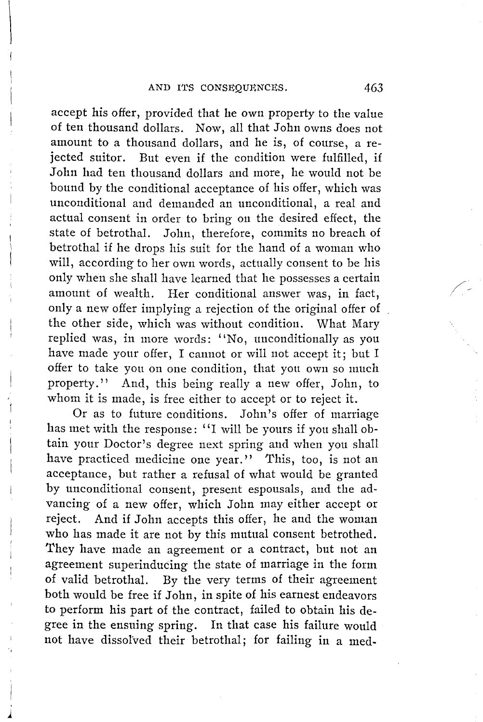$\vert$ 

*1* 

accept his offer, provided that he own property to the value of ten thousand dollars. Now, all that John owns does not amount to a thousand dollars, and he is, of course, a rejected suitor. But even if the condition were fulfilled, if John had ten thousand dollars and more, he would not be bound by the conditional acceptance of his offer, which was unconditional and demanded an unconditional, a real and actual consent in order to bring on the desired effect, the state of betrothal. John, therefore, commits no breach of betrothal if he drops his suit for the hand of a woman who will, according to her own words, actually consent to be his only when she shall have learned that he possesses a certain amount of wealth. Her conditional answer was, in fact, only a new offer implying a rejection of the original offer of the other side, which was without condition. What Mary replied was, in more words: "No, unconditionally as you have made your offer, I cannot or will not accept it; but I offer to take you on one condition, that you own so much property." And, this being really a new offer, John, to whom it is made, is free either to accept or to reject it.

Or as to future conditions. John's offer of marriage has met with the response: ''I will be yours if you shall obtain your Doctor's degree next spring and when you shall have practiced medicine one year." This, too, is not an acceptance, but rather a refusal of what would be granted by unconditional consent, present espousals, and the advancing of a new offer, which John may either accept or reject. And if John accepts this offer, he and the woman who has made it are not by this mutual consent betrothed. They have made an agreement or a contract, but not an agreement superinducing the state of marriage in the form of valid betrothal. By the very terms of their agreement both would be free if John, in spite of his earnest endeavors to perform his part of the contract, failed to obtain his degree in the ensuing spring. In that case his failure would not have dissolved their betrothal; for failing in a med/-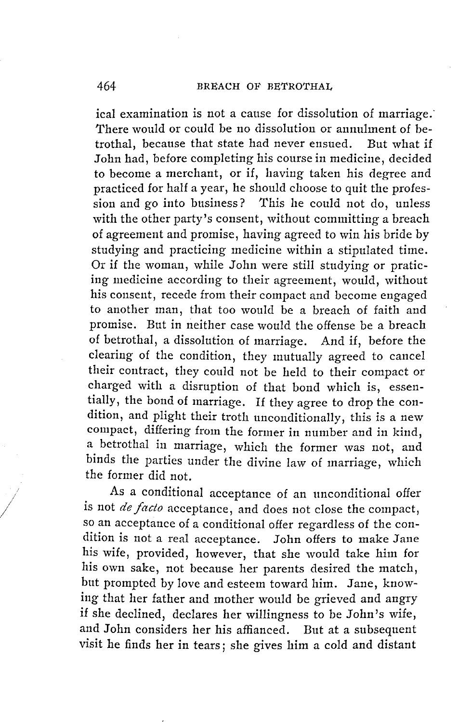ical examination is not a cause for dissolution of marriage. There would or could be no dissolution or annulment of betrothal, because that state had never ensued. But what if John had, before completing his course in medicine, decided to become a merchant, or if, having taken his degree and practiced for half a year, he should choose *to* quit the profession and go into business? This he could not do, unless with the other party's consent, without committing a breach of agreement and promise, having agreed to win his bride by studying and practicing medicine within a stipulated time. Or if the woman, while John were still studying or praticing medicine according *to* their agreement, would, without his consent, recede from their compact and become engaged to another man, that too would be a breach of faith and promise. But in neither case would the offense be a breach of betrothal, a dissolution of marriage. And if, before the clearing of the condition, they mutually agreed to cancel their contract, they could not be held to their compact or charged with a disruption of that bond which is, essentially, the bond of marriage. If they agree to drop the condition, and plight their troth unconditionally, this is a new compact, differing from the former in number and in kind, a betrothal in marriage, which the former was not, and binds the parties under the divine law of marriage, which the former did not.

As a conditional acceptance of an unconditional offer is not *de facto* acceptance, and does not close the compact, so an acceptance of a conditional offer regardless of the condition is not a real acceptance. John offers to make Jane his wife, provided, however, that she would take him for his own sake, not because her parents desired the match, but prompted by love and esteem toward him. Jane, knowing that her father and mother would be grieved and angry if she declined, declares her willingness to be John's wife, and John considers her his affianced. But at a subsequent visit he finds her in tears; she gives him a cold and distant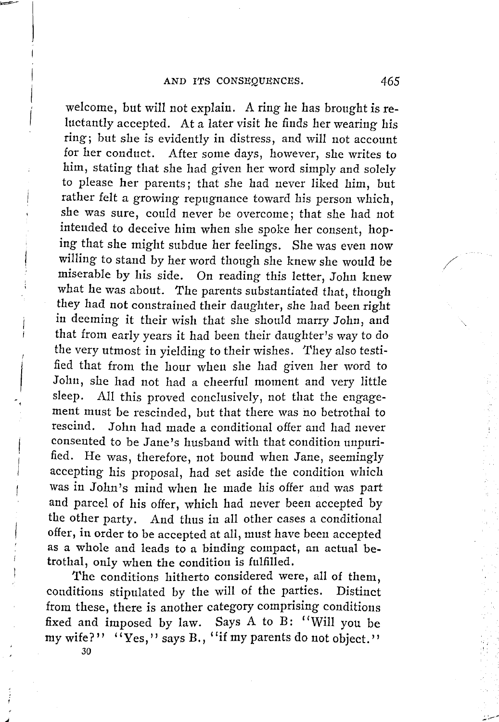welcome, but will not explain. A ring he has brought is reluctantly accepted. At a later visit he finds her wearing his ring; but she is evidently in distress, and will not account for her conduct. After some days, however, she writes to him, stating that she had given her word simply and solely *to* please her parents; that she had never liked him, but rather felt a growing repugnance toward his person which, she was sure, could never be overcome; that she had not intended to deceive him when she spoke her consent, hoping that she might subdue her feelings. She was even now willing to stand by her word though she knew she would be miserable by his side. On reading this letter, John knew what he was about. The parents substantiated that, though they had not constrained their daughter, she had been right in deeming it their wish that she should marry John, and that from early years it had been their daughter's way to do the very utmost in yielding to their wishes. They also testified that from the hour when she had given her word to John, she had not had a cheerful moment and very little sleep. All this proved conclusively, not that the engagement must be rescinded, but that there was no betrothal to rescind. John had made a conditional offer and had never consented to be Jane's husband with that condition unpurified. He was, therefore, not bound when Jane, seemingly accepting his proposal, had set aside the condition which was in John's mind when he made his offer and was part and parcel of his offer, which had never been accepted by the other party. And thus in all other cases a conditional offer, in order to be accepted at all, must have been accepted as a whole and leads to a binding compact, an actual betrothal, only when the condition is fulfilled.

I

I

The conditions hitherto considered were, all of them, conditions stipulated by the will of the parties. Distinct from these, there is another category comprising conditions fixed and imposed by law. Says A to B: "Will you be my wife?''  $\langle \langle Y_{\text{ES}} \rangle$ '' says B.,  $\langle \langle Y_{\text{H}} \rangle$  parents do not object.'' 30

/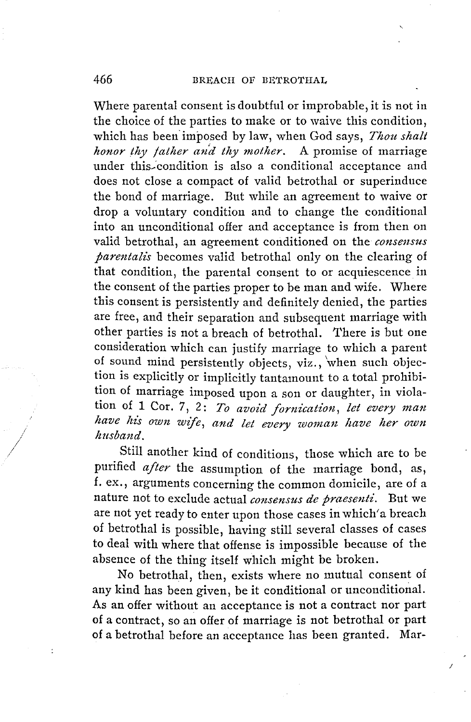Where parental consent is doubtful or improbable, it is not in the choice of the parties to make or to waive this condition, which has been imposed by law, when God says, *Thou shalt honor thy father and thy mother.* A promise of marriage under this~·condition is also a conditional acceptance and does not close a compact of valid betrothal or superinduce the bond of marriage. But while an agreement to waive or drop a voluntary condition and to change the conditional into an unconditional offer and acceptance is from then on valid betrothal, an agreement conditioned on the *consensus parentali's* becomes valid betrothal only on the clearing of that condition, the parental consent to or acquiescence in the consent of the parties proper to be man and wife. Where this consent is persistently and definitely denied, the parties are free, and their separation and subsequent marriage with other parties is not a breach of betrothal. There is but one consideration which can justify marriage to which a parent of sound mind persistently objects, viz., 'when such objection is explicitly or implicitly tantamount to a total prohibition of marriage imposed upon a son or daughter, in violation of 1 Cor. 7, 2: To avoid fornication, let every man have his own wife, and let every woman have her own *husband .* 

. Still another kind of conditions, those which are to be purified after the assumption of the marriage bond, as, f. ex., arguments concerning the common domicile, are of a nature not to exclude actual *consensus de praesenti*. But we are not yet ready to enter upon those cases in which' a breach of betrothal is possible, having still several classes of cases to deal with where that offense is impossible because of the absence of the thing itself which might be broken.

No betrothal, then, exists where no mutual consent of any kind has been given, be it conditional or unconditional. As an offer without an acceptance is not a contract nor part of a contract, so an offer of marriage is not betrothal or part of a betrothal before an acceptance has been granted. Mar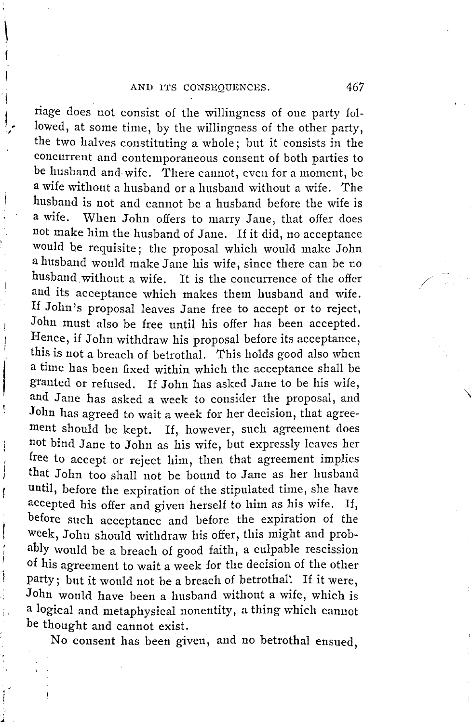$\vert$ 

I

f. ,

I

 $\mathbf{I}$ 

ţ

j İ

riage does not consist of the willingness of one party followed, at some time, by the willingness of the other party, the two halves constituting a whole; but it consists in the concurrent and contemporaneous consent of both parties to be husband and wife. There cannot, even for a moment, be a wife without a husband or a husband without a wife. The husband is not and cannot be a husband before the wife is a wife. When John offers to marry Jane, that offer does not make him the husband of Jane. If it did, no acceptance would be requisite; the proposal which would make John a husband would make Jane his wife, since there can be no husband without a wife. It is the concurrence of the offer and its acceptance which makes them husband and wife. If John's proposal leaves Jane free to accept or to reject, John must also be free until his offer has been accepted. Hence, if John withdraw his proposal before its acceptance, this is not a breach of betrothal. This holds good also when a time has been fixed within which the acceptance shall be granted or refused. If John has asked Jane to be his wife, and Jane has asked a week to consider the proposal, and John has agreed to wait a week for her decision, that agreement should be kept. If, however, such agreement does not bind Jane to John as his wife, but expressly leaves her free to accept or reject him, then that agreement implies that John too shall not be bound to Jane as her husband until, before the expiration of the stipulated time, she have accepted his offer and given herself to him as his wife. If, before such acceptance and before the expiration of the week, John should withdraw his offer, this might and probably would be a breach of good faith, a culpable rescission of his agreement to wait a week for the decision of the other party; but it would not be a breach of betrothal: If it were, John would have been a husband without a wife, which is a logical and metaphysical nonentity, a thing which cannot be thought and cannot exist.

No consent has been given, and no betrothal ensued,

/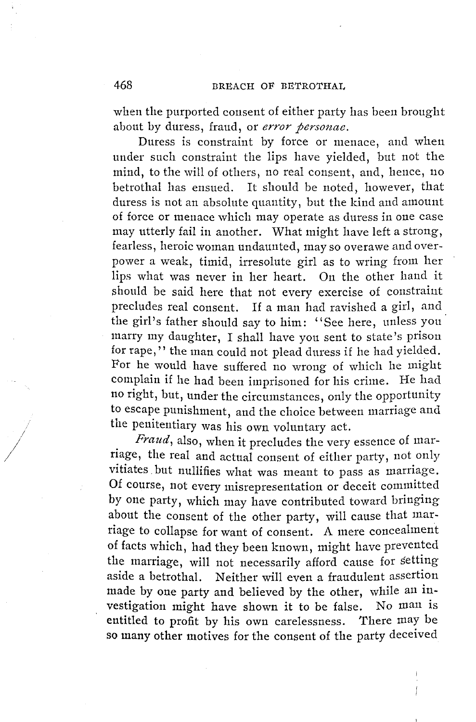when the purported consent of either party has been brought about by duress, fraud, or *error personae.* 

Duress is constraint by force or menace, and when under such constraint the lips have yielded, but not the mind, to the will of others, no real consent, and, hence, 110 betrothal has ensued. It should be noted, however, that duress is not an absolute quantity, but the kind and amount of force or menace which may operate as duress in one case may utterly fail in another. What might have left a strong, fearless, heroic woman undaunted, may so overawe and overpower a weak, timid, irresolute girl as to wring from her lips what was never in her heart. On the other hand it should be said here that not every exercise of constraint precludes real consent. If a man had ravished a girl, and the girl's father should say to him: "See here, unless you· marry my daughter, I shall have you sent to state's prison for rape," the man could not plead duress if he had yielded. For he would have suffered no wrong of which he might complain if he had been imprisoned for his crime. He had no right, but, under the circumstances, only the opportunity to escape punishment, and the choice between marriage and the penitentiary was his own voluntary act.

*Fraud,* also, when it precludes the very essence of marriage, the real and actual consent of either party, not only vitiates. but nullifies what was meant to pass as marriage. Of course, not every misrepresentation or deceit committed by one party, which may have contributed toward bringing about the consent of the other party, will cause that marriage to collapse for want of consent. A mere concealment of facts which, had they been known, might have prevented the marriage, will not necessarily afford cause for setting aside a betrothal. Neither will even a fraudulent assertion made by one party and believed by the other, while an investigation might have shown it to be false. No man is entitled to profit by his own carelessness. There may be so many other motives for the consent of the party deceived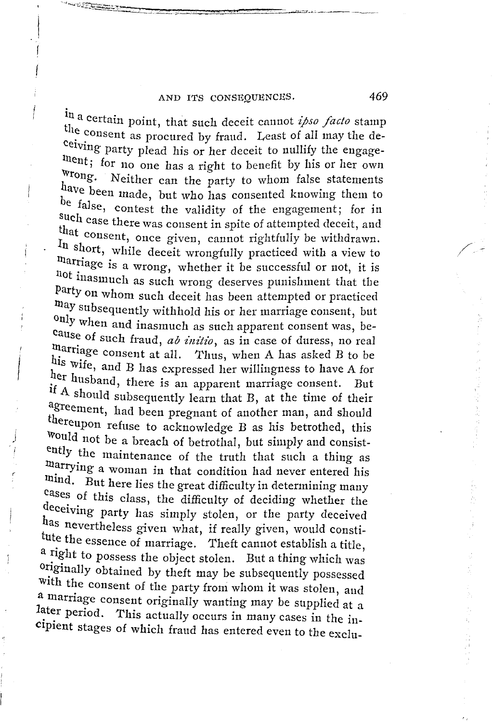#### AND ITS CONSEQUENCES. 469

In a certain point, that such deceit cannot *ipso facto* stamp the consent as procured by fraud. Least of all may the deceiving party plead his or her deceit to nullify the engagethent; for no one has a right to benefit by his or her own Wrong. Neither can the party to whom false statements have been made, but who has consented knowing them to be false, contest the validity of the engagement; for in such case there was consent in spite of attempted deceit, and that consent, once given, cannot rightfully be withdrawn. In short, while deceit wrongfully practiced with a view to marriage is a wrong, whether it be successful or not, it is not inasmuch as such wrong deserves punishment that the Party on whom such deceit has been attempted or practiced may subsequently withhold his or her marriage consent, but only when and inasmuch as such apparent consent was, be-<br>cause of such fraud, *ab initio*, as in case of duress, no real marriage consent at all. Thus, when A has asked *B* to be his wife, and B has expressed her willingness to have A for her husband, there is an apparent marriage consent. But if  $A$  should subsequently learn that  $B$ , at the time of their agreement, had been pregnant of another man, and should thereupon refuse to acknowledge B as his betrothed, this Would not be a breach of betrothal, but simply and consistently the maintenance of the truth that such a thing as marrying a woman in that condition had never entered his mind. But here lies the great difficulty in determining many cases of this class, the difficulty of deciding whether the deceiving party has simply stolen, or the party deceived has nevertheless given what, if really given, would constitute the essence of marriage. Theft cannot establish a title, a right to possess the object stolen. But a thing which was 0 ~iginally obtained by theft may be subsequently possessed with the consent of the party froni whom it was stolen, and a marriage consent originally wanting may be supplied at a later period. This actually occurs in many cases in the incipient stages of which fraud has entered even to the exclu-

/ -- /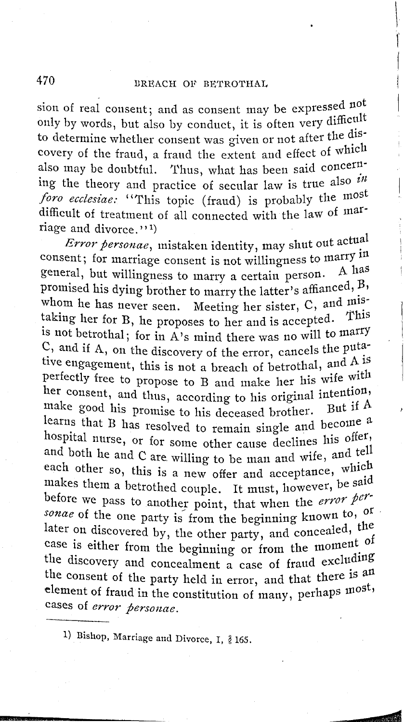#### BREACH OF BETROTHAL

sion of real consent; and as consent may be expressed not only by words, but also by conduct, it is often very difficult to determine whether consent was given or not after the discovery of the fraud, a fraud the extent and effect of which also may be doubtful. Thus, what has been said concerning the theory and practice of secular law is true also  $\hat{i}$ <sup>*in*</sup>. foro ecclesiae: "This topic (fraud) is probably the most difficult of treatment of all connected with the law of marriage and divorce."<sup>1</sup>)

Error personae, mistaken identity, may shut out actual consent; for marriage consent is not willingness to marry in general, but willingness to marry a certain person. A has promised his dying brother to marry the latter's affianced, B, whom he has never seen. Meeting her sister,  $C$ , and  $m$ istaking her for B, he proposes to her and is accepted. This is not betrothal; for in A's mind there was no will to marry  $C$ , and if A, on the discovery of the error, cancels the putative engagement, this is not a breach of betrothal, and A is perfectly free to propose to B and make her his wife with her consent, and thus, according to his original intention, make good his promise to his deceased brother. But if A learns that B has resolved to remain single and become a hospital nurse, or for some other cause declines his offer, and both he and C are willing to be man and wife, and tell each other so, this is a new offer and acceptance, which makes them a betrothed couple. It must, however, be said before we pass to another point, that when the error personae of the one party is from the beginning known to, of later on discovered by, the other party, and concealed, the case is either from the beginning or from the moment of the discovery and concealment a case of fraud excluding the consent of the party held in error, and that there is an element of fraud in the constitution of many, perhaps most, cases of error personae.

1) Bishop, Marriage and Divorce, I, § 165.

470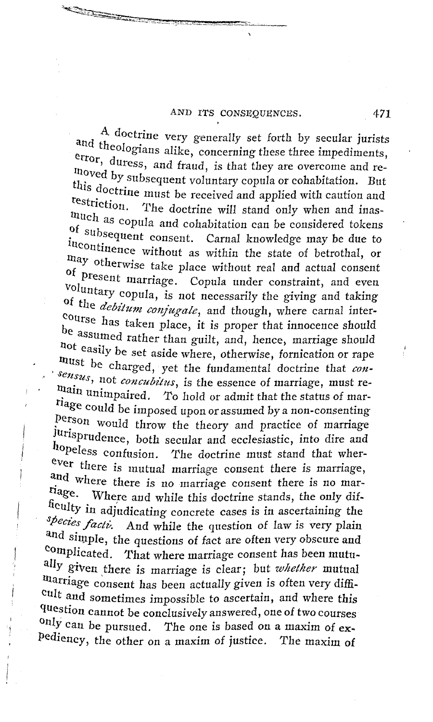#### AND ITS CONSEQUENCES.

A doctrine very generally set forth by secular jurists and theologians alike, concerning these three impediments, error, duress, and fraud, is that they are overcome and removed by subsequent voluntary copula or cohabitation. But this doctrine must be received and applied with caution and restriction. The doctrine will stand only when and inasmuch as copula and cohabitation can be considered tokens of subsequent consent. Carnal knowledge may be due to incontinence without as within the state of betrothal, or may otherwise take place without real and actual consent of present marriage. Copula under constraint, and even voluntary copula, is not necessarily the giving and taking of the *debitum conjugale*, and though, where carnal intercourse has taken place, it is proper that innocence should be assumed rather than guilt, and, hence, marriage should not easily be set aside where, otherwise, fornication or rape must be charged, yet the fundamental doctrine that con $sensus$ , not concubitus, is the essence of marriage, must remain unimpaired. To hold or admit that the status of marriage could be imposed upon or assumed by a non-consenting person would throw the theory and practice of marriage jurisprudence, both secular and ecclesiastic, into dire and hopeless confusion. The doctrine must stand that wherever there is mutual marriage consent there is marriage, and where there is no marriage consent there is no marriage. Where and while this doctrine stands, the only difficulty in adjudicating concrete cases is in ascertaining the species facti. And while the question of law is very plain and simple, the questions of fact are often very obscure and complicated. That where marriage consent has been mutually given there is marriage is clear; but whether mutual marriage consent has been actually given is often very difficult and sometimes impossible to ascertain, and where this question cannot be conclusively answered, one of two courses only can be pursued. The one is based on a maxim of expediency, the other on a maxim of justice. The maxim of

471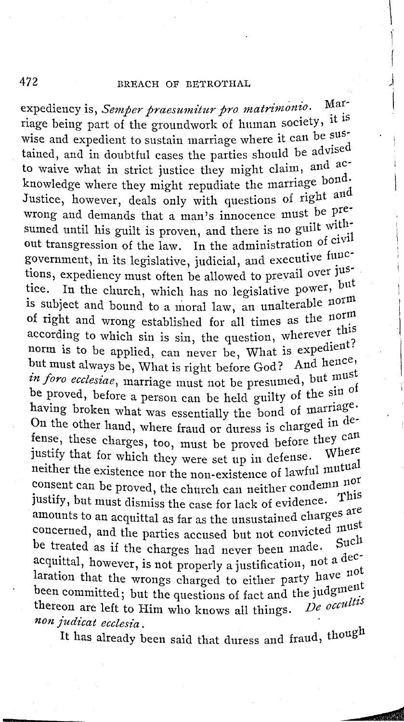#### BREACH OF BETROTHAL

expediency is, Semper praesumitur pro matrimonio. Marriage being part of the groundwork of human society, it is wise and expedient to sustain marriage where it can be sustained, and in doubtful cases the parties should be advised to waive what in strict justice they might claim, and acknowledge where they might repudiate the marriage bond. Justice, however, deals only with questions of right and wrong and demands that a man's innocence must be presumed until his guilt is proven, and there is no guilt without transgression of the law. In the administration of civil government, in its legislative, judicial, and executive functions, expediency must often be allowed to prevail over jus-In the church, which has no legislative power, but tice. is subject and bound to a moral law, an unalterable norm of right and wrong established for all times as the norm according to which sin is sin, the question, wherever this norm is to be applied, can never be, What is expedient? but must always be, What is right before God? And hence, in foro ecclesiae, marriage must not be presumed, but must be proved, before a person can be held guilty of the sin of having broken what was essentially the bond of marriage. On the other hand, where fraud or duress is charged in defense, these charges, too, must be proved before they can justify that for which they were set up in defense. Where neither the existence nor the non-existence of lawful mutual consent can be proved, the church can neither condemn nor justify, but must dismiss the case for lack of evidence. This amounts to an acquittal as far as the unsustained charges are concerned, and the parties accused but not convicted must be treated as if the charges had never been made. Such acquittal, however, is not properly a justification, not a declaration that the wrongs charged to either party have not been committed; but the questions of fact and the judgment De occultis thereon are left to Him who knows all things. non judicat ecclesia.

It has already been said that duress and fraud, though

472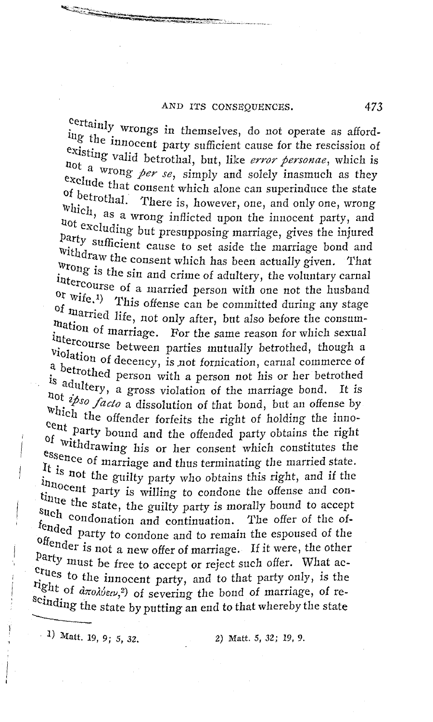#### AND ITS CONSEQUENCES.

certainly wrongs in themselves, do not operate as affording the innocent party sufficient cause for the rescission of existing valid betrothal, but, like error personae, which is not a wrong per se, simply and solely inasmuch as they exclude that consent which alone can superinduce the state of betrothal. There is, however, one, and only one, wrong which, as a wrong inflicted upon the innocent party, and not excluding but presupposing marriage, gives the injured party sufficient cause to set aside the marriage bond and Withdraw the consent which has been actually given. That wrong is the sin and crime of adultery, the voluntary carnal intercourse of a married person with one not the husband or wife.<sup>1</sup>) This offense can be committed during any stage of married life, not only after, but also before the consummation of marriage. For the same reason for which sexual intercourse between parties mutually betrothed, though a violation of decency, is not fornication, carnal commerce of a betrothed person with a person not his or her betrothed is adultery, a gross violation of the marriage bond. It is hot ipso facto a dissolution of that bond, but an offense by which the offender forfeits the right of holding the innocent party bound and the offended party obtains the right of withdrawing his or her consent which constitutes the essence of marriage and thus terminating the married state. It is not the guilty party who obtains this right, and if the innocent party is willing to condone the offense and continue the state, the guilty party is morally bound to accept such condonation and continuation. The offer of the offended party to condone and to remain the espoused of the offender is not a new offer of marriage. If it were, the other party must be free to accept or reject such offer. What acerues to the innocent party, and to that party only, is the right of *drotbew*,<sup>2</sup>) of severing the bond of marriage, of reseinding the state by putting an end to that whereby the state

 $(1)$  Matt. 19, 9; 5, 32.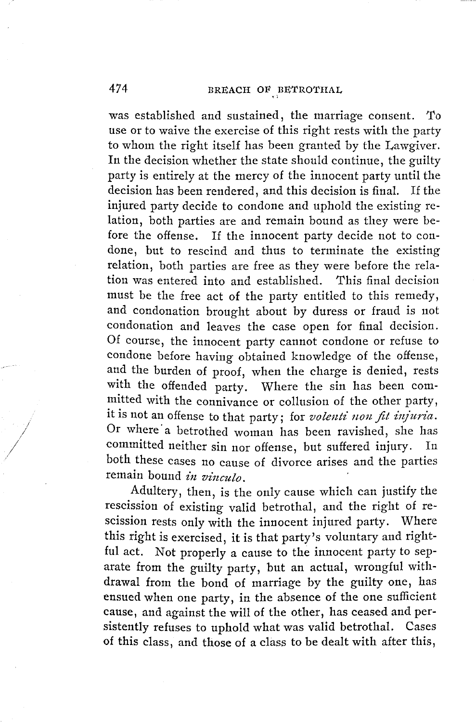was established and sustained, the marriage consent. To use or to waive the exercise of this right rests with the party to whom the right itself has been granted by the Lawgiver. In the decision whether the state should continue, the guilty party is entirely at the mercy of the innocent party until the decision has been rendered, and this decision is final. If the injured party decide to condone and uphold the existing relation, both parties are and remain bound as they were before the offense. If the innocent party decide not to condone, but to rescind and thus to terminate the existing relation, both parties are free as they were before the relation was entered into and established. This final decision must be the free act of the party entitled to this remedy, and condonation brought about by duress or fraud is not condonation and leaves the case open for final decision. Of course, the innocent party cannot condone or refuse to condone before having obtained knowledge of the offense, and the burden of proof, when the charge is denied, rests with the offended party. Where the sin has been committed with the connivance or collusion of the other party, it is not an offense to that party; for *volenti non fit infun'a.*  Or where a betrothed woman has been ravished, she has committed neither sin nor offense, but suffered injury. In both these cases no cause of divorce arises and the parties remain bound *in vinculo*.

Adultery, then, is the only cause which can justify the rescission of existing valid betrothal, and the right of rescission rests only with the innocent injured party. Where this right is exercised, it is that party's voluntary and rightful act. Not properly a cause to the innocent party to separate from the guilty party, but an actual, wrongful withdrawal from the bond of marriage by the guilty one, has ensued when one party, in the absence of the one sufficient cause, and against the will of the other, has ceased and persistently refuses to uphold what was valid betrothal. Cases of this class, and those of a class to be dealt with after this,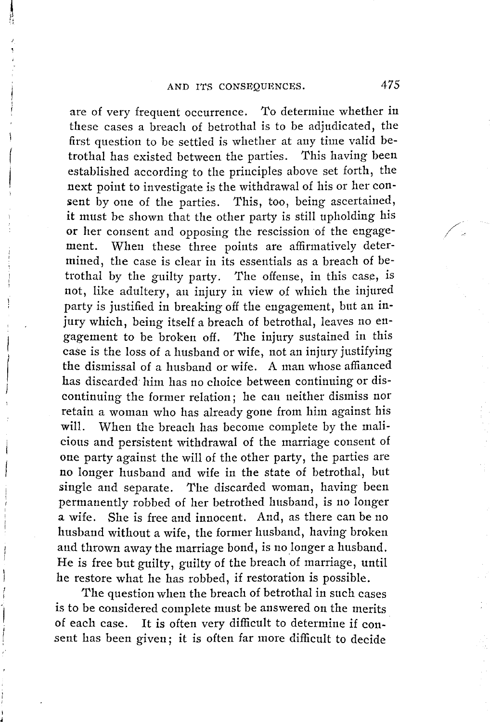are of very frequent occurrence. *To* determine whether in these cases a breach of betrothal is to be adjudicated, the first question to be settled is whether at any time valid betrothal has existed between the parties. This having been established according to the principles above set forth, the next point to investigate is the withdrawal of his or her consent by one of the parties. This, too, being ascertained, it must be shown that the other party is still upholding his or her consent and opposing the rescission of the engagement. When these three points are affirmatively determined, the case is clear in its essentials as a breach of betrothal by the guilty party. The offense, in this case, is not, like adultery, an injury in view of which the injured party is justified in breaking off the engagement, but an injury which, being itself a breach of betrothal, leaves no engagement to be broken off. The injury sustained in this case is the loss of a husband or wife, not an injury justifying the dismissal of a husband or wife. A man whose affianced has discarded him has no choice between continuing or discontinuing the former relation; he can neither dismiss nor retain a woman who has already gone from him against his **will.** When the breach has become complete by the malicious and persistent withdrawal of the marriage consent of one party against the will of the other party, the parties are no longer husband and wife in the state of betrothal, but single and separate. The discarded woman, having been permanently robbed of her betrothed husband, is no longer a wife. She is free and innocent. And, as there can be no husband without a wife, the former husband, having broken and thrown away the marriage bond, is no longer a husband. He is free but guilty, guilty of the breach of marriage, until he restore what he has robbed, if restoration is possible.

The question when the breach of betrothal in such cases is to be considered complete must be answered on the merits of each case. It is often very difficult to determine if consent has been given; it is often far more difficult to decide

 $\diagup$  .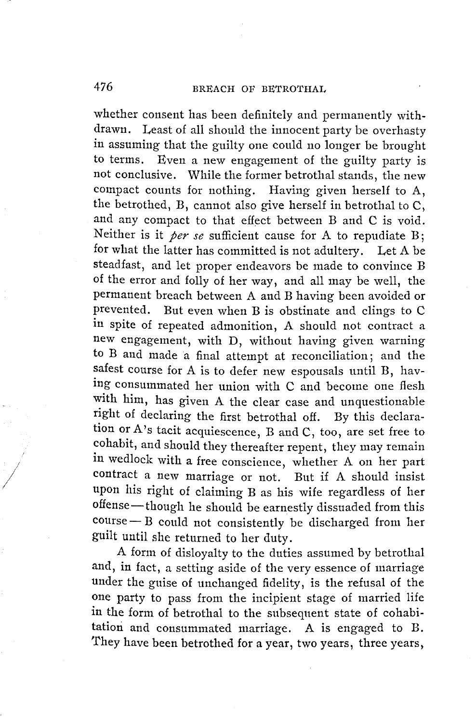whether consent has been definitely and permanently withdrawn. Least of all should the innocent party be overhasty in assuming that the guilty one could no longer be brought to terms. Even a new engagement of the guilty party is not conclusive. While the former betrothal stands, the new compact counts for nothing. Having given herself to A, the betrothed, B, cannot also give herself in betrothal to C, and any compact to that effect between B and C is void. Neither is it *per se* sufficient cause for A to repudiate B; for what the latter has committed is not adultery. Let A be steadfast, and let proper endeavors be made to convince B of the error and folly of her way, and all may be well, the permanent breach between A and B having been avoided or prevented. But even when B is obstinate and clings to C in spite of repeated admonition, A should not contract a new engagement, with D, without having given warning to B and made a final attempt at reconciliation; and the safest course for A is to defer new espousals until B, having consummated her union with C and become one flesh with him, has given A the clear case and unquestionable right of declaring the first betrothal off. By this declaration or A's tacit acquiescence, B and C, too, are set free to cohabit, and should they thereafter repent, they may remain in wedlock with a free conscience, whether A on her part contract a new marriage or not. But if A should insist upon his right of claiming B as his wife regardless of her offense-though he should be earnestly dissuaded from this  $course - B$  could not consistently be discharged from her guilt until she returned to her duty.

A form of disloyalty to the duties assumed by betrothal and, in fact, a setting aside of the very essence of marriage under the guise of unchanged fidelity, is the refusal of the one party to pass from the incipient stage of married life in the form of betrothal to the subsequent state of cohabitation and consummated marriage. A is engaged to B. They have been betrothed for a year, two years, three years,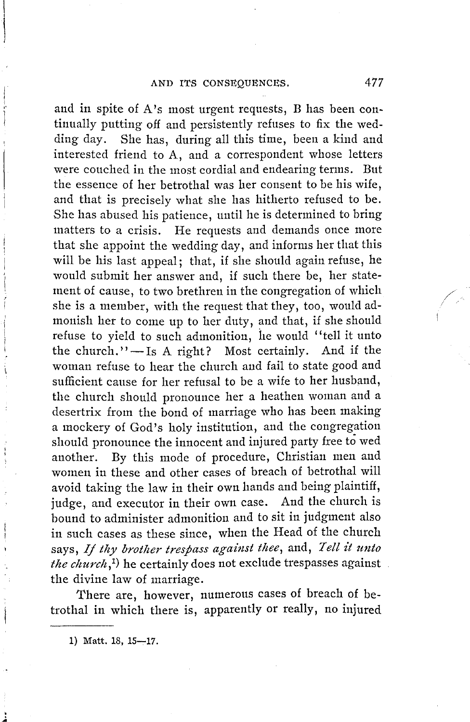and in spite of A's most urgent requests, B has been continually putting off and persistently refuses to fix the wedding day. She has, during all this time, been a kind and interested friend to A, and a correspondent whose letters were couched in the most cordial and endearing terms. But the essence of her betrothal was her consent to be his wife, and that is precisely what she has hitherto refused to be. She has abused his patience, until he is determined to bring matters to a crisis. He requests and demands once more that she appoint the wedding day, and informs her that this will be his last appeal; that, if she should again refuse, he would submit her answer and, if such there be, her statement of cause, to two brethren in the congregation of which she is a member, with the request that they, too, would admonish her to come up to her duty, and that, if she should refuse to yield to such admonition, he would ''tell it unto the church." $-$ Is A right? Most certainly. And if the woman refuse to hear the church and fail to state good and sufficient cause for her refusal to be a wife to her husband, the church should pronounce her a heathen woman and a desertrix from the bond of marriage who has been making a mockery of God's holy institution, and the congregation should pronounce the innocent and injured party free to wed another. By this mode of procedure, Christian men and women in these and other cases of breach of betrothal will avoid taking the law in their own hands and being plaintiff, judge, and executor in their own case. And the church is bound to administer admonition and to sit in judgment also in such cases as these since, when the Head of the church says, *If thy brotlier trespass against thee,* and, *Tell it unto the church*,<sup>1</sup>) he certainly does not exclude trespasses against the divine law of marriage.

There are, however, numerous cases of breach of betrothal in which there is, apparently or really, no injured

1) Matt. 18, 15-17.

/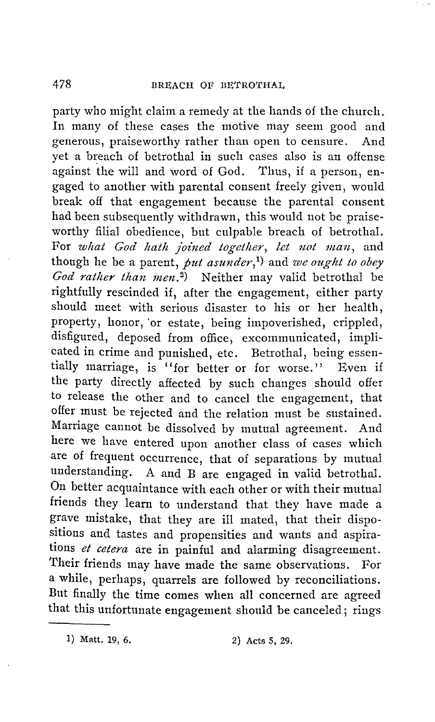party who might claim a remedy at the hands of the church. In many of these cases the motive may seem good and generous, praiseworthy rather than open to censure. And yet a breach of betrothal in such cases also is an offense against the will and word of God. Thus, if a person, engaged to another with parental consent freely given, would break off that engagement because the parental consent had been subsequently withdrawn, this would not be praiseworthy filial obedience, but culpable breach of betrothal. For what God hath joined together, let not man, and though he be a parent, *put asunder*,<sup>1</sup>) and *we ought to obey God rather than men.*<sup>2</sup>) Neither may valid betrothal be rightfully rescinded if, after the engagement, either party should meet with serious disaster to his or her health, property, honor, or estate, being impoverished, crippled, disfigured, deposed from office, excommunicated, implicated in crime and punished, etc. Betrothal, being essentially marriage, is ''for better or for worse.'' Even if the party directly affected by such changes should offer to release the other and to cancel the engagement, that offer must be rejected and the relation must be sustained. Marriage cannot be dissolved by mutual agreement. And here we have entered upon another class of cases which are of frequent occurrence, that of separations by mutual understanding. A and B are engaged in valid betrothal. On better acquaintance with each other or with their mutual friends they learn to understand that they have made a grave mistake, that they are ill mated, that their dispositions and tastes and propensities and wants and aspirations *et cetera* are in painful and alarming disagreement. Their friends may have made the same observations. For a while, perhaps, quarrels are followed by reconciliations. But finally the time comes when all concerned are agreed that this unfortunate engagement should be canceled; rings

1) Matt. 19, 6. 2) Acts 5, 29.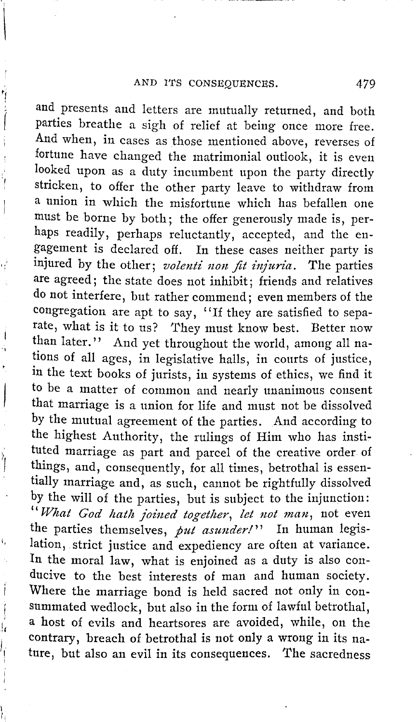and presents and letters are mutually returned, and both parties breathe a sigh of relief at being once more free. And when, in cases as those mentioned above, reverses of fortune have changed the matrimonial outlook, it is even looked upon as a duty incumbent upon the party directly stricken, to offer the other party leave to withdraw from a union in which the misfortune which has befallen one must be borne by both; the offer generously made is, perhaps readily, perhaps reluctantly, accepted, and the engagement is declared off. In these cases neither party is injured by the other; *volenti non fit injuria*. The parties are agreed; the state does not inhibit; friends and relatives do not interfere, but rather commend; even members of the congregation are apt to say, "If they are satisfied to separate, what is it to us? They must know best. Better now than later." And yet throughout the world, among all nations of all ages, in legislative halls, in courts of justice, in the text books of jurists, in systems of ethics, we find it to be a matter of common and nearly unanimous consent that marriage is a union for life and must not be dissolved by the mutual agreement of the parties. And according to the highest Authority, the rulings of Him who has instituted marriage as part and parcel of the creative order of things, and, consequently, for all times, betrothal is essentially marriage and, as such, cannot be rightfully dissolved by the will of the parties, but is subject to the injunction: *"fVhat God hath .Joined together, let not man,* not even the parties themselves, *put asunder!''* In human legislation, strict justice and expediency are often at variance. In the moral law, what is enjoined as a duty is also conducive to the best interests of man and human society. Where the marriage bond is held sacred not only in consummated wedlock, but also in the form of lawful betrothal, a host of evils and heartsores are avoided, while, on the contrary, breach of betrothal is not only a wrong in its nature, but also an evil in its consequences. The sacredness

 $\rangle_{\rm{f}}$ I

ł

,,

Í

! I i